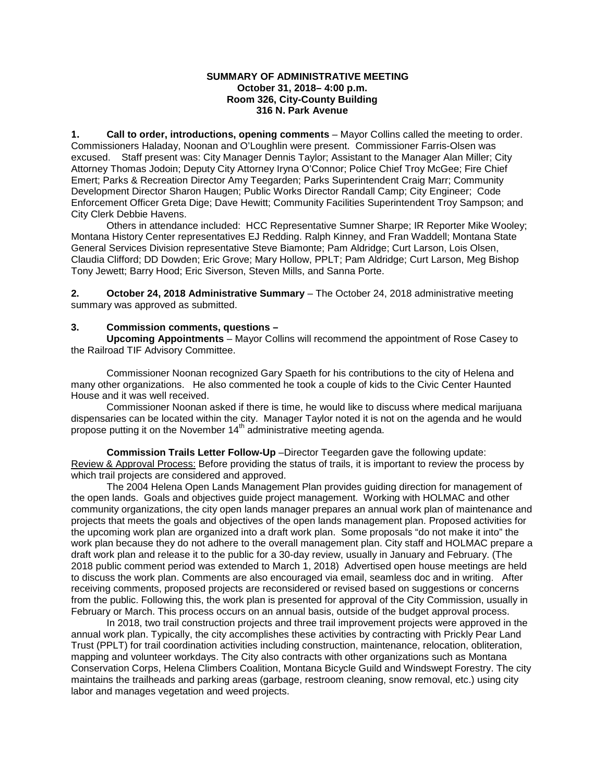#### **SUMMARY OF ADMINISTRATIVE MEETING October 31, 2018– 4:00 p.m. Room 326, City-County Building 316 N. Park Avenue**

**1. Call to order, introductions, opening comments** – Mayor Collins called the meeting to order. Commissioners Haladay, Noonan and O'Loughlin were present. Commissioner Farris-Olsen was excused. Staff present was: City Manager Dennis Taylor; Assistant to the Manager Alan Miller; City Attorney Thomas Jodoin; Deputy City Attorney Iryna O'Connor; Police Chief Troy McGee; Fire Chief Emert; Parks & Recreation Director Amy Teegarden; Parks Superintendent Craig Marr; Community Development Director Sharon Haugen; Public Works Director Randall Camp; City Engineer; Code Enforcement Officer Greta Dige; Dave Hewitt; Community Facilities Superintendent Troy Sampson; and City Clerk Debbie Havens.

Others in attendance included: HCC Representative Sumner Sharpe; IR Reporter Mike Wooley; Montana History Center representatives EJ Redding. Ralph Kinney, and Fran Waddell; Montana State General Services Division representative Steve Biamonte; Pam Aldridge; Curt Larson, Lois Olsen, Claudia Clifford; DD Dowden; Eric Grove; Mary Hollow, PPLT; Pam Aldridge; Curt Larson, Meg Bishop Tony Jewett; Barry Hood; Eric Siverson, Steven Mills, and Sanna Porte.

**2. October 24, 2018 Administrative Summary** – The October 24, 2018 administrative meeting summary was approved as submitted.

### **3. Commission comments, questions –**

**Upcoming Appointments** – Mayor Collins will recommend the appointment of Rose Casey to the Railroad TIF Advisory Committee.

Commissioner Noonan recognized Gary Spaeth for his contributions to the city of Helena and many other organizations. He also commented he took a couple of kids to the Civic Center Haunted House and it was well received.

Commissioner Noonan asked if there is time, he would like to discuss where medical marijuana dispensaries can be located within the city. Manager Taylor noted it is not on the agenda and he would propose putting it on the November  $14<sup>th</sup>$  administrative meeting agenda.

**Commission Trails Letter Follow-Up** –Director Teegarden gave the following update: Review & Approval Process: Before providing the status of trails, it is important to review the process by which trail projects are considered and approved.

The 2004 Helena Open Lands Management Plan provides guiding direction for management of the open lands. Goals and objectives guide project management. Working with HOLMAC and other community organizations, the city open lands manager prepares an annual work plan of maintenance and projects that meets the goals and objectives of the open lands management plan. Proposed activities for the upcoming work plan are organized into a draft work plan. Some proposals "do not make it into" the work plan because they do not adhere to the overall management plan. City staff and HOLMAC prepare a draft work plan and release it to the public for a 30-day review, usually in January and February. (The 2018 public comment period was extended to March 1, 2018) Advertised open house meetings are held to discuss the work plan. Comments are also encouraged via email, seamless doc and in writing. After receiving comments, proposed projects are reconsidered or revised based on suggestions or concerns from the public. Following this, the work plan is presented for approval of the City Commission, usually in February or March. This process occurs on an annual basis, outside of the budget approval process.

In 2018, two trail construction projects and three trail improvement projects were approved in the annual work plan. Typically, the city accomplishes these activities by contracting with Prickly Pear Land Trust (PPLT) for trail coordination activities including construction, maintenance, relocation, obliteration, mapping and volunteer workdays. The City also contracts with other organizations such as Montana Conservation Corps, Helena Climbers Coalition, Montana Bicycle Guild and Windswept Forestry. The city maintains the trailheads and parking areas (garbage, restroom cleaning, snow removal, etc.) using city labor and manages vegetation and weed projects.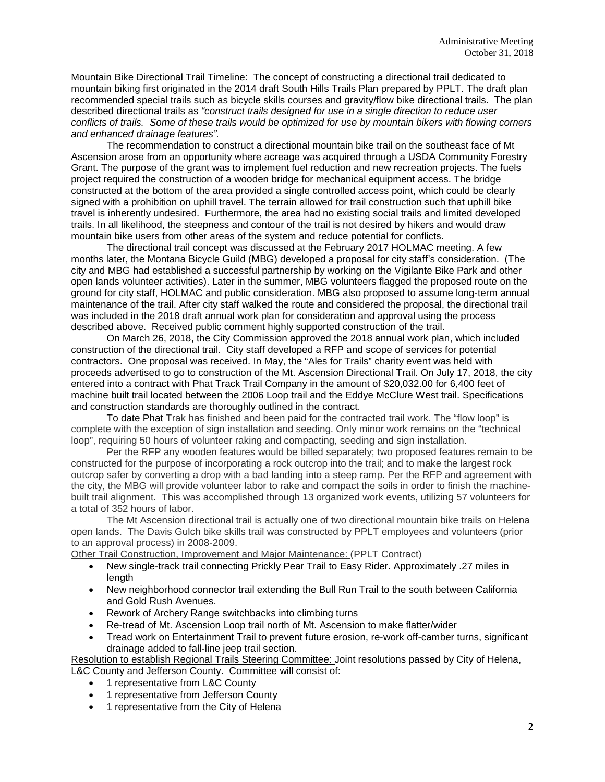Mountain Bike Directional Trail Timeline: The concept of constructing a directional trail dedicated to mountain biking first originated in the 2014 draft South Hills Trails Plan prepared by PPLT. The draft plan recommended special trails such as bicycle skills courses and gravity/flow bike directional trails. The plan described directional trails as *"construct trails designed for use in a single direction to reduce user conflicts of trails. Some of these trails would be optimized for use by mountain bikers with flowing corners and enhanced drainage features".*

The recommendation to construct a directional mountain bike trail on the southeast face of Mt Ascension arose from an opportunity where acreage was acquired through a USDA Community Forestry Grant. The purpose of the grant was to implement fuel reduction and new recreation projects. The fuels project required the construction of a wooden bridge for mechanical equipment access. The bridge constructed at the bottom of the area provided a single controlled access point, which could be clearly signed with a prohibition on uphill travel. The terrain allowed for trail construction such that uphill bike travel is inherently undesired. Furthermore, the area had no existing social trails and limited developed trails. In all likelihood, the steepness and contour of the trail is not desired by hikers and would draw mountain bike users from other areas of the system and reduce potential for conflicts.

The directional trail concept was discussed at the February 2017 HOLMAC meeting. A few months later, the Montana Bicycle Guild (MBG) developed a proposal for city staff's consideration. (The city and MBG had established a successful partnership by working on the Vigilante Bike Park and other open lands volunteer activities). Later in the summer, MBG volunteers flagged the proposed route on the ground for city staff, HOLMAC and public consideration. MBG also proposed to assume long-term annual maintenance of the trail. After city staff walked the route and considered the proposal, the directional trail was included in the 2018 draft annual work plan for consideration and approval using the process described above. Received public comment highly supported construction of the trail.

On March 26, 2018, the City Commission approved the 2018 annual work plan, which included construction of the directional trail. City staff developed a RFP and scope of services for potential contractors. One proposal was received. In May, the "Ales for Trails" charity event was held with proceeds advertised to go to construction of the Mt. Ascension Directional Trail. On July 17, 2018, the city entered into a contract with Phat Track Trail Company in the amount of \$20,032.00 for 6,400 feet of machine built trail located between the 2006 Loop trail and the Eddye McClure West trail. Specifications and construction standards are thoroughly outlined in the contract.

To date Phat Trak has finished and been paid for the contracted trail work. The "flow loop" is complete with the exception of sign installation and seeding. Only minor work remains on the "technical loop", requiring 50 hours of volunteer raking and compacting, seeding and sign installation.

Per the RFP any wooden features would be billed separately; two proposed features remain to be constructed for the purpose of incorporating a rock outcrop into the trail; and to make the largest rock outcrop safer by converting a drop with a bad landing into a steep ramp. Per the RFP and agreement with the city, the MBG will provide volunteer labor to rake and compact the soils in order to finish the machinebuilt trail alignment. This was accomplished through 13 organized work events, utilizing 57 volunteers for a total of 352 hours of labor.

The Mt Ascension directional trail is actually one of two directional mountain bike trails on Helena open lands. The Davis Gulch bike skills trail was constructed by PPLT employees and volunteers (prior to an approval process) in 2008-2009.

Other Trail Construction, Improvement and Major Maintenance: (PPLT Contract)

- New single-track trail connecting Prickly Pear Trail to Easy Rider. Approximately .27 miles in length
- New neighborhood connector trail extending the Bull Run Trail to the south between California and Gold Rush Avenues.
- Rework of Archery Range switchbacks into climbing turns
- Re-tread of Mt. Ascension Loop trail north of Mt. Ascension to make flatter/wider
- Tread work on Entertainment Trail to prevent future erosion, re-work off-camber turns, significant drainage added to fall-line jeep trail section.

Resolution to establish Regional Trails Steering Committee: Joint resolutions passed by City of Helena,

L&C County and Jefferson County. Committee will consist of:

- 1 representative from L&C County
- 1 representative from Jefferson County
- 1 representative from the City of Helena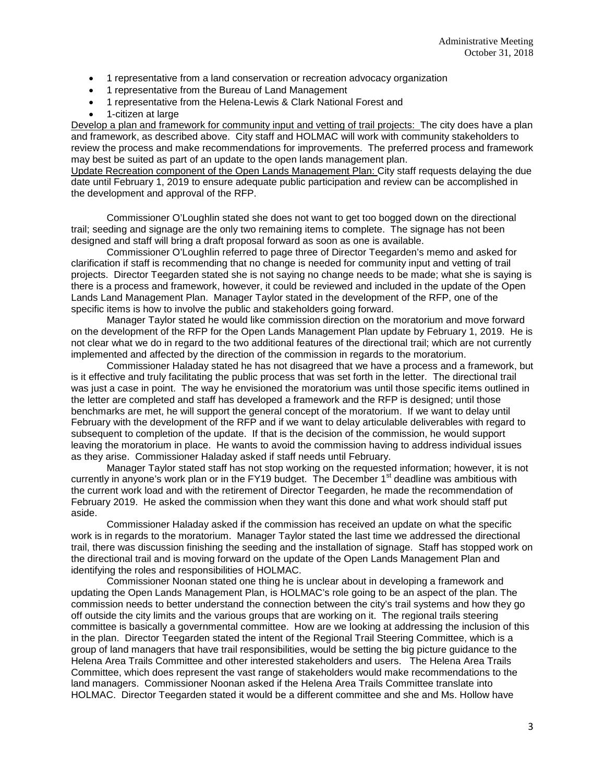- 1 representative from a land conservation or recreation advocacy organization
- 1 representative from the Bureau of Land Management
- 1 representative from the Helena-Lewis & Clark National Forest and
- 1-citizen at large

Develop a plan and framework for community input and vetting of trail projects: The city does have a plan and framework, as described above. City staff and HOLMAC will work with community stakeholders to review the process and make recommendations for improvements. The preferred process and framework may best be suited as part of an update to the open lands management plan.

Update Recreation component of the Open Lands Management Plan: City staff requests delaying the due date until February 1, 2019 to ensure adequate public participation and review can be accomplished in the development and approval of the RFP.

Commissioner O'Loughlin stated she does not want to get too bogged down on the directional trail; seeding and signage are the only two remaining items to complete. The signage has not been designed and staff will bring a draft proposal forward as soon as one is available.

Commissioner O'Loughlin referred to page three of Director Teegarden's memo and asked for clarification if staff is recommending that no change is needed for community input and vetting of trail projects. Director Teegarden stated she is not saying no change needs to be made; what she is saying is there is a process and framework, however, it could be reviewed and included in the update of the Open Lands Land Management Plan. Manager Taylor stated in the development of the RFP, one of the specific items is how to involve the public and stakeholders going forward.

Manager Taylor stated he would like commission direction on the moratorium and move forward on the development of the RFP for the Open Lands Management Plan update by February 1, 2019. He is not clear what we do in regard to the two additional features of the directional trail; which are not currently implemented and affected by the direction of the commission in regards to the moratorium.

Commissioner Haladay stated he has not disagreed that we have a process and a framework, but is it effective and truly facilitating the public process that was set forth in the letter. The directional trail was just a case in point. The way he envisioned the moratorium was until those specific items outlined in the letter are completed and staff has developed a framework and the RFP is designed; until those benchmarks are met, he will support the general concept of the moratorium. If we want to delay until February with the development of the RFP and if we want to delay articulable deliverables with regard to subsequent to completion of the update. If that is the decision of the commission, he would support leaving the moratorium in place. He wants to avoid the commission having to address individual issues as they arise. Commissioner Haladay asked if staff needs until February.

Manager Taylor stated staff has not stop working on the requested information; however, it is not currently in anyone's work plan or in the FY19 budget. The December  $1<sup>st</sup>$  deadline was ambitious with the current work load and with the retirement of Director Teegarden, he made the recommendation of February 2019. He asked the commission when they want this done and what work should staff put aside.

Commissioner Haladay asked if the commission has received an update on what the specific work is in regards to the moratorium. Manager Taylor stated the last time we addressed the directional trail, there was discussion finishing the seeding and the installation of signage. Staff has stopped work on the directional trail and is moving forward on the update of the Open Lands Management Plan and identifying the roles and responsibilities of HOLMAC.

Commissioner Noonan stated one thing he is unclear about in developing a framework and updating the Open Lands Management Plan, is HOLMAC's role going to be an aspect of the plan. The commission needs to better understand the connection between the city's trail systems and how they go off outside the city limits and the various groups that are working on it. The regional trails steering committee is basically a governmental committee. How are we looking at addressing the inclusion of this in the plan. Director Teegarden stated the intent of the Regional Trail Steering Committee, which is a group of land managers that have trail responsibilities, would be setting the big picture guidance to the Helena Area Trails Committee and other interested stakeholders and users. The Helena Area Trails Committee, which does represent the vast range of stakeholders would make recommendations to the land managers. Commissioner Noonan asked if the Helena Area Trails Committee translate into HOLMAC. Director Teegarden stated it would be a different committee and she and Ms. Hollow have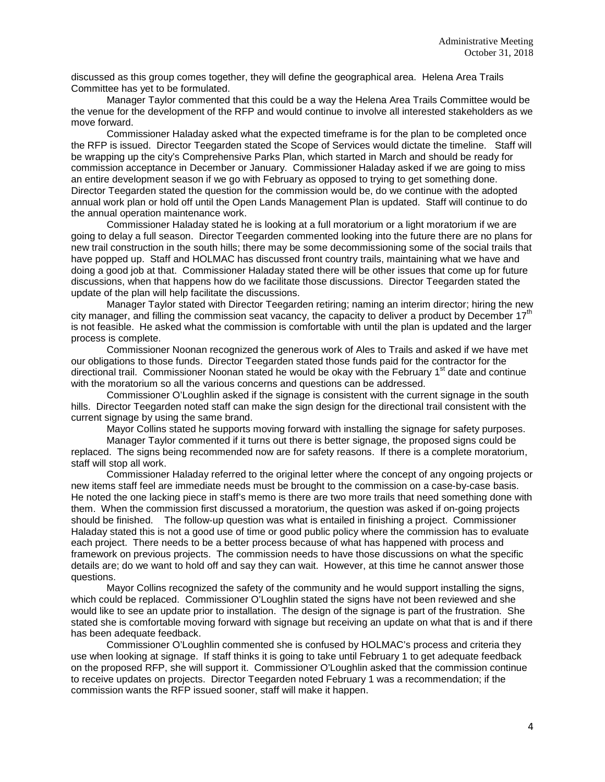discussed as this group comes together, they will define the geographical area. Helena Area Trails Committee has yet to be formulated.

Manager Taylor commented that this could be a way the Helena Area Trails Committee would be the venue for the development of the RFP and would continue to involve all interested stakeholders as we move forward.

Commissioner Haladay asked what the expected timeframe is for the plan to be completed once the RFP is issued. Director Teegarden stated the Scope of Services would dictate the timeline. Staff will be wrapping up the city's Comprehensive Parks Plan, which started in March and should be ready for commission acceptance in December or January. Commissioner Haladay asked if we are going to miss an entire development season if we go with February as opposed to trying to get something done. Director Teegarden stated the question for the commission would be, do we continue with the adopted annual work plan or hold off until the Open Lands Management Plan is updated. Staff will continue to do the annual operation maintenance work.

Commissioner Haladay stated he is looking at a full moratorium or a light moratorium if we are going to delay a full season. Director Teegarden commented looking into the future there are no plans for new trail construction in the south hills; there may be some decommissioning some of the social trails that have popped up. Staff and HOLMAC has discussed front country trails, maintaining what we have and doing a good job at that. Commissioner Haladay stated there will be other issues that come up for future discussions, when that happens how do we facilitate those discussions. Director Teegarden stated the update of the plan will help facilitate the discussions.

Manager Taylor stated with Director Teegarden retiring; naming an interim director; hiring the new city manager, and filling the commission seat vacancy, the capacity to deliver a product by December  $17<sup>th</sup>$ is not feasible. He asked what the commission is comfortable with until the plan is updated and the larger process is complete.

Commissioner Noonan recognized the generous work of Ales to Trails and asked if we have met our obligations to those funds. Director Teegarden stated those funds paid for the contractor for the directional trail. Commissioner Noonan stated he would be okay with the February 1<sup>st</sup> date and continue with the moratorium so all the various concerns and questions can be addressed.

Commissioner O'Loughlin asked if the signage is consistent with the current signage in the south hills. Director Teegarden noted staff can make the sign design for the directional trail consistent with the current signage by using the same brand.

Mayor Collins stated he supports moving forward with installing the signage for safety purposes.

Manager Taylor commented if it turns out there is better signage, the proposed signs could be replaced. The signs being recommended now are for safety reasons. If there is a complete moratorium, staff will stop all work.

Commissioner Haladay referred to the original letter where the concept of any ongoing projects or new items staff feel are immediate needs must be brought to the commission on a case-by-case basis. He noted the one lacking piece in staff's memo is there are two more trails that need something done with them. When the commission first discussed a moratorium, the question was asked if on-going projects should be finished. The follow-up question was what is entailed in finishing a project. Commissioner Haladay stated this is not a good use of time or good public policy where the commission has to evaluate each project. There needs to be a better process because of what has happened with process and framework on previous projects. The commission needs to have those discussions on what the specific details are; do we want to hold off and say they can wait. However, at this time he cannot answer those questions.

Mayor Collins recognized the safety of the community and he would support installing the signs, which could be replaced. Commissioner O'Loughlin stated the signs have not been reviewed and she would like to see an update prior to installation. The design of the signage is part of the frustration. She stated she is comfortable moving forward with signage but receiving an update on what that is and if there has been adequate feedback.

Commissioner O'Loughlin commented she is confused by HOLMAC's process and criteria they use when looking at signage. If staff thinks it is going to take until February 1 to get adequate feedback on the proposed RFP, she will support it. Commissioner O'Loughlin asked that the commission continue to receive updates on projects. Director Teegarden noted February 1 was a recommendation; if the commission wants the RFP issued sooner, staff will make it happen.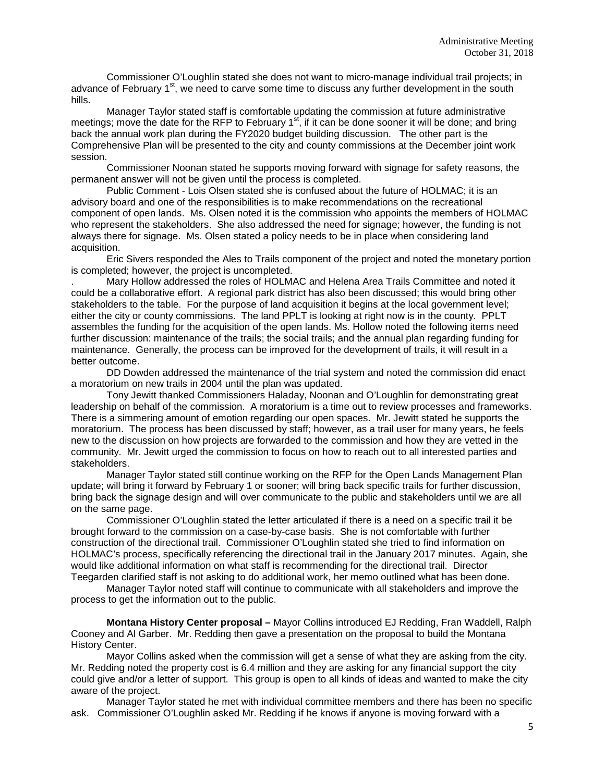Commissioner O'Loughlin stated she does not want to micro-manage individual trail projects; in advance of February 1<sup>st</sup>, we need to carve some time to discuss any further development in the south hills.

Manager Taylor stated staff is comfortable updating the commission at future administrative meetings; move the date for the RFP to February  $1<sup>st</sup>$ , if it can be done sooner it will be done; and bring back the annual work plan during the FY2020 budget building discussion. The other part is the Comprehensive Plan will be presented to the city and county commissions at the December joint work session.

Commissioner Noonan stated he supports moving forward with signage for safety reasons, the permanent answer will not be given until the process is completed.

Public Comment - Lois Olsen stated she is confused about the future of HOLMAC; it is an advisory board and one of the responsibilities is to make recommendations on the recreational component of open lands. Ms. Olsen noted it is the commission who appoints the members of HOLMAC who represent the stakeholders. She also addressed the need for signage; however, the funding is not always there for signage. Ms. Olsen stated a policy needs to be in place when considering land acquisition.

Eric Sivers responded the Ales to Trails component of the project and noted the monetary portion is completed; however, the project is uncompleted.

. Mary Hollow addressed the roles of HOLMAC and Helena Area Trails Committee and noted it could be a collaborative effort. A regional park district has also been discussed; this would bring other stakeholders to the table. For the purpose of land acquisition it begins at the local government level; either the city or county commissions. The land PPLT is looking at right now is in the county. PPLT assembles the funding for the acquisition of the open lands. Ms. Hollow noted the following items need further discussion: maintenance of the trails; the social trails; and the annual plan regarding funding for maintenance. Generally, the process can be improved for the development of trails, it will result in a better outcome.

DD Dowden addressed the maintenance of the trial system and noted the commission did enact a moratorium on new trails in 2004 until the plan was updated.

Tony Jewitt thanked Commissioners Haladay, Noonan and O'Loughlin for demonstrating great leadership on behalf of the commission. A moratorium is a time out to review processes and frameworks. There is a simmering amount of emotion regarding our open spaces. Mr. Jewitt stated he supports the moratorium. The process has been discussed by staff; however, as a trail user for many years, he feels new to the discussion on how projects are forwarded to the commission and how they are vetted in the community. Mr. Jewitt urged the commission to focus on how to reach out to all interested parties and stakeholders.

Manager Taylor stated still continue working on the RFP for the Open Lands Management Plan update; will bring it forward by February 1 or sooner; will bring back specific trails for further discussion, bring back the signage design and will over communicate to the public and stakeholders until we are all on the same page.

Commissioner O'Loughlin stated the letter articulated if there is a need on a specific trail it be brought forward to the commission on a case-by-case basis. She is not comfortable with further construction of the directional trail. Commissioner O'Loughlin stated she tried to find information on HOLMAC's process, specifically referencing the directional trail in the January 2017 minutes. Again, she would like additional information on what staff is recommending for the directional trail. Director Teegarden clarified staff is not asking to do additional work, her memo outlined what has been done.

Manager Taylor noted staff will continue to communicate with all stakeholders and improve the process to get the information out to the public.

**Montana History Center proposal –** Mayor Collins introduced EJ Redding, Fran Waddell, Ralph Cooney and Al Garber. Mr. Redding then gave a presentation on the proposal to build the Montana History Center.

Mayor Collins asked when the commission will get a sense of what they are asking from the city. Mr. Redding noted the property cost is 6.4 million and they are asking for any financial support the city could give and/or a letter of support. This group is open to all kinds of ideas and wanted to make the city aware of the project.

Manager Taylor stated he met with individual committee members and there has been no specific ask. Commissioner O'Loughlin asked Mr. Redding if he knows if anyone is moving forward with a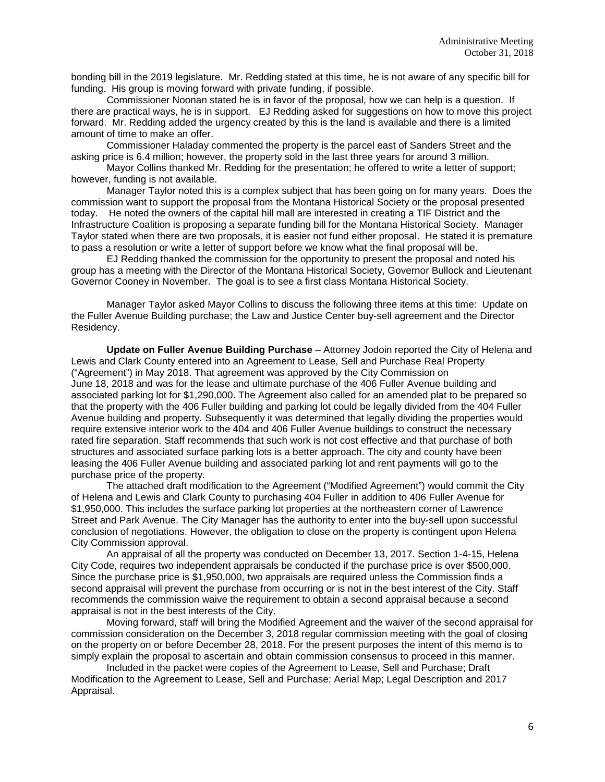bonding bill in the 2019 legislature. Mr. Redding stated at this time, he is not aware of any specific bill for funding. His group is moving forward with private funding, if possible.

Commissioner Noonan stated he is in favor of the proposal, how we can help is a question. If there are practical ways, he is in support. EJ Redding asked for suggestions on how to move this project forward. Mr. Redding added the urgency created by this is the land is available and there is a limited amount of time to make an offer.

Commissioner Haladay commented the property is the parcel east of Sanders Street and the asking price is 6.4 million; however, the property sold in the last three years for around 3 million.

Mayor Collins thanked Mr. Redding for the presentation; he offered to write a letter of support; however, funding is not available.

Manager Taylor noted this is a complex subject that has been going on for many years. Does the commission want to support the proposal from the Montana Historical Society or the proposal presented today. He noted the owners of the capital hill mall are interested in creating a TIF District and the Infrastructure Coalition is proposing a separate funding bill for the Montana Historical Society. Manager Taylor stated when there are two proposals, it is easier not fund either proposal. He stated it is premature to pass a resolution or write a letter of support before we know what the final proposal will be.

EJ Redding thanked the commission for the opportunity to present the proposal and noted his group has a meeting with the Director of the Montana Historical Society, Governor Bullock and Lieutenant Governor Cooney in November. The goal is to see a first class Montana Historical Society.

Manager Taylor asked Mayor Collins to discuss the following three items at this time: Update on the Fuller Avenue Building purchase; the Law and Justice Center buy-sell agreement and the Director Residency.

**Update on Fuller Avenue Building Purchase** – Attorney Jodoin reported the City of Helena and Lewis and Clark County entered into an Agreement to Lease, Sell and Purchase Real Property ("Agreement") in May 2018. That agreement was approved by the City Commission on June 18, 2018 and was for the lease and ultimate purchase of the 406 Fuller Avenue building and associated parking lot for \$1,290,000. The Agreement also called for an amended plat to be prepared so that the property with the 406 Fuller building and parking lot could be legally divided from the 404 Fuller Avenue building and property. Subsequently it was determined that legally dividing the properties would require extensive interior work to the 404 and 406 Fuller Avenue buildings to construct the necessary rated fire separation. Staff recommends that such work is not cost effective and that purchase of both structures and associated surface parking lots is a better approach. The city and county have been leasing the 406 Fuller Avenue building and associated parking lot and rent payments will go to the purchase price of the property.

The attached draft modification to the Agreement ("Modified Agreement") would commit the City of Helena and Lewis and Clark County to purchasing 404 Fuller in addition to 406 Fuller Avenue for \$1,950,000. This includes the surface parking lot properties at the northeastern corner of Lawrence Street and Park Avenue. The City Manager has the authority to enter into the buy-sell upon successful conclusion of negotiations. However, the obligation to close on the property is contingent upon Helena City Commission approval.

An appraisal of all the property was conducted on December 13, 2017. Section 1-4-15, Helena City Code, requires two independent appraisals be conducted if the purchase price is over \$500,000. Since the purchase price is \$1,950,000, two appraisals are required unless the Commission finds a second appraisal will prevent the purchase from occurring or is not in the best interest of the City. Staff recommends the commission waive the requirement to obtain a second appraisal because a second appraisal is not in the best interests of the City.

Moving forward, staff will bring the Modified Agreement and the waiver of the second appraisal for commission consideration on the December 3, 2018 regular commission meeting with the goal of closing on the property on or before December 28, 2018. For the present purposes the intent of this memo is to simply explain the proposal to ascertain and obtain commission consensus to proceed in this manner.

Included in the packet were copies of the Agreement to Lease, Sell and Purchase; Draft Modification to the Agreement to Lease, Sell and Purchase; Aerial Map; Legal Description and 2017 Appraisal.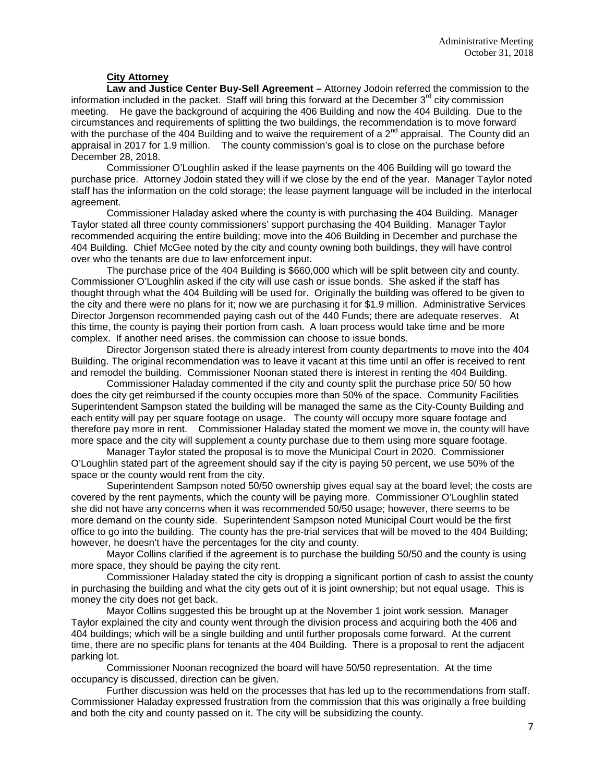### **City Attorney**

**Law and Justice Center Buy-Sell Agreement –** Attorney Jodoin referred the commission to the information included in the packet. Staff will bring this forward at the December  $3<sup>rd</sup>$  city commission meeting. He gave the background of acquiring the 406 Building and now the 404 Building. Due to the circumstances and requirements of splitting the two buildings, the recommendation is to move forward with the purchase of the 404 Building and to waive the requirement of a  $2^{nd}$  appraisal. The County did an appraisal in 2017 for 1.9 million. The county commission's goal is to close on the purchase before December 28, 2018.

Commissioner O'Loughlin asked if the lease payments on the 406 Building will go toward the purchase price. Attorney Jodoin stated they will if we close by the end of the year. Manager Taylor noted staff has the information on the cold storage; the lease payment language will be included in the interlocal agreement.

Commissioner Haladay asked where the county is with purchasing the 404 Building. Manager Taylor stated all three county commissioners' support purchasing the 404 Building. Manager Taylor recommended acquiring the entire building; move into the 406 Building in December and purchase the 404 Building. Chief McGee noted by the city and county owning both buildings, they will have control over who the tenants are due to law enforcement input.

The purchase price of the 404 Building is \$660,000 which will be split between city and county. Commissioner O'Loughlin asked if the city will use cash or issue bonds. She asked if the staff has thought through what the 404 Building will be used for. Originally the building was offered to be given to the city and there were no plans for it; now we are purchasing it for \$1.9 million. Administrative Services Director Jorgenson recommended paying cash out of the 440 Funds; there are adequate reserves. At this time, the county is paying their portion from cash. A loan process would take time and be more complex. If another need arises, the commission can choose to issue bonds.

Director Jorgenson stated there is already interest from county departments to move into the 404 Building. The original recommendation was to leave it vacant at this time until an offer is received to rent and remodel the building. Commissioner Noonan stated there is interest in renting the 404 Building.

Commissioner Haladay commented if the city and county split the purchase price 50/ 50 how does the city get reimbursed if the county occupies more than 50% of the space. Community Facilities Superintendent Sampson stated the building will be managed the same as the City-County Building and each entity will pay per square footage on usage. The county will occupy more square footage and therefore pay more in rent. Commissioner Haladay stated the moment we move in, the county will have more space and the city will supplement a county purchase due to them using more square footage.

Manager Taylor stated the proposal is to move the Municipal Court in 2020. Commissioner O'Loughlin stated part of the agreement should say if the city is paying 50 percent, we use 50% of the space or the county would rent from the city.

Superintendent Sampson noted 50/50 ownership gives equal say at the board level; the costs are covered by the rent payments, which the county will be paying more. Commissioner O'Loughlin stated she did not have any concerns when it was recommended 50/50 usage; however, there seems to be more demand on the county side. Superintendent Sampson noted Municipal Court would be the first office to go into the building. The county has the pre-trial services that will be moved to the 404 Building; however, he doesn't have the percentages for the city and county.

Mayor Collins clarified if the agreement is to purchase the building 50/50 and the county is using more space, they should be paying the city rent.

Commissioner Haladay stated the city is dropping a significant portion of cash to assist the county in purchasing the building and what the city gets out of it is joint ownership; but not equal usage. This is money the city does not get back.

Mayor Collins suggested this be brought up at the November 1 joint work session. Manager Taylor explained the city and county went through the division process and acquiring both the 406 and 404 buildings; which will be a single building and until further proposals come forward. At the current time, there are no specific plans for tenants at the 404 Building. There is a proposal to rent the adjacent parking lot.

Commissioner Noonan recognized the board will have 50/50 representation. At the time occupancy is discussed, direction can be given.

Further discussion was held on the processes that has led up to the recommendations from staff. Commissioner Haladay expressed frustration from the commission that this was originally a free building and both the city and county passed on it. The city will be subsidizing the county.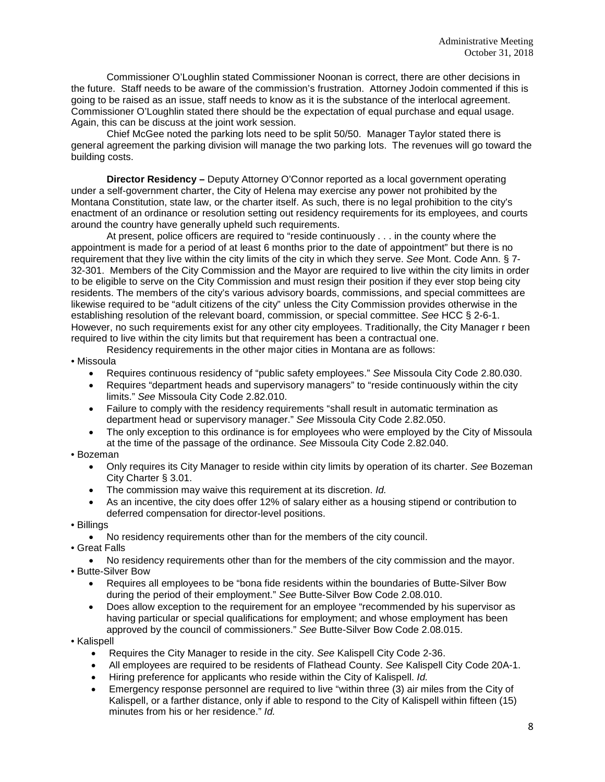Commissioner O'Loughlin stated Commissioner Noonan is correct, there are other decisions in the future. Staff needs to be aware of the commission's frustration. Attorney Jodoin commented if this is going to be raised as an issue, staff needs to know as it is the substance of the interlocal agreement. Commissioner O'Loughlin stated there should be the expectation of equal purchase and equal usage. Again, this can be discuss at the joint work session.

Chief McGee noted the parking lots need to be split 50/50. Manager Taylor stated there is general agreement the parking division will manage the two parking lots. The revenues will go toward the building costs.

**Director Residency –** Deputy Attorney O'Connor reported as a local government operating under a self-government charter, the City of Helena may exercise any power not prohibited by the Montana Constitution, state law, or the charter itself. As such, there is no legal prohibition to the city's enactment of an ordinance or resolution setting out residency requirements for its employees, and courts around the country have generally upheld such requirements.

At present, police officers are required to "reside continuously . . . in the county where the appointment is made for a period of at least 6 months prior to the date of appointment" but there is no requirement that they live within the city limits of the city in which they serve. *See* Mont. Code Ann. § 7- 32-301. Members of the City Commission and the Mayor are required to live within the city limits in order to be eligible to serve on the City Commission and must resign their position if they ever stop being city residents. The members of the city's various advisory boards, commissions, and special committees are likewise required to be "adult citizens of the city" unless the City Commission provides otherwise in the establishing resolution of the relevant board, commission, or special committee. *See* HCC § 2-6-1. However, no such requirements exist for any other city employees. Traditionally, the City Manager r been required to live within the city limits but that requirement has been a contractual one.

Residency requirements in the other major cities in Montana are as follows:

- Missoula
	- Requires continuous residency of "public safety employees." *See* Missoula City Code 2.80.030.
	- Requires "department heads and supervisory managers" to "reside continuously within the city limits." *See* Missoula City Code 2.82.010.
	- Failure to comply with the residency requirements "shall result in automatic termination as department head or supervisory manager." *See* Missoula City Code 2.82.050.
	- The only exception to this ordinance is for employees who were employed by the City of Missoula at the time of the passage of the ordinance. *See* Missoula City Code 2.82.040.

### • Bozeman

- Only requires its City Manager to reside within city limits by operation of its charter. *See* Bozeman City Charter § 3.01.
- The commission may waive this requirement at its discretion. *Id.*
- As an incentive, the city does offer 12% of salary either as a housing stipend or contribution to deferred compensation for director-level positions.
- Billings
	- No residency requirements other than for the members of the city council.
- Great Falls
- No residency requirements other than for the members of the city commission and the mayor. • Butte-Silver Bow
- - Requires all employees to be "bona fide residents within the boundaries of Butte-Silver Bow during the period of their employment." *See* Butte-Silver Bow Code 2.08.010.
	- Does allow exception to the requirement for an employee "recommended by his supervisor as having particular or special qualifications for employment; and whose employment has been approved by the council of commissioners." *See* Butte-Silver Bow Code 2.08.015.
- Kalispell
	- Requires the City Manager to reside in the city. *See* Kalispell City Code 2-36.
	- All employees are required to be residents of Flathead County. *See* Kalispell City Code 20A-1.
	- Hiring preference for applicants who reside within the City of Kalispell. *Id.*
	- Emergency response personnel are required to live "within three (3) air miles from the City of Kalispell, or a farther distance, only if able to respond to the City of Kalispell within fifteen (15) minutes from his or her residence." *Id.*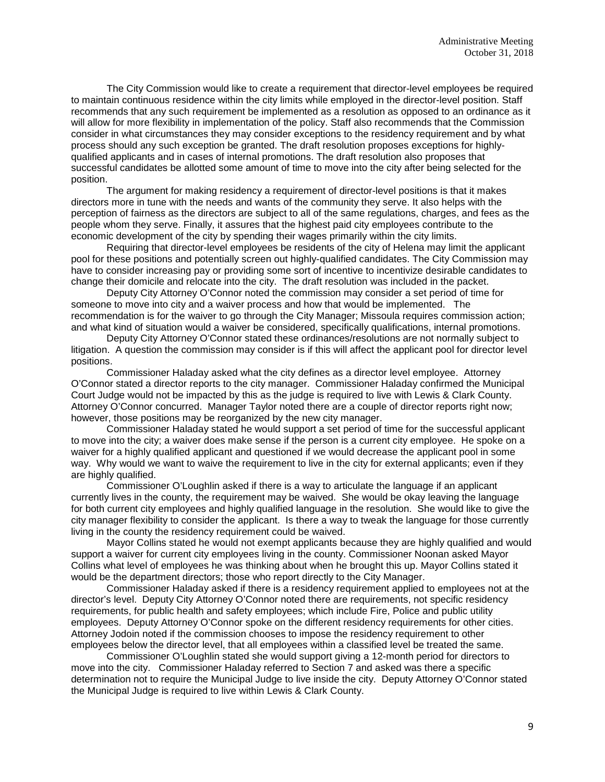The City Commission would like to create a requirement that director-level employees be required to maintain continuous residence within the city limits while employed in the director-level position. Staff recommends that any such requirement be implemented as a resolution as opposed to an ordinance as it will allow for more flexibility in implementation of the policy. Staff also recommends that the Commission consider in what circumstances they may consider exceptions to the residency requirement and by what process should any such exception be granted. The draft resolution proposes exceptions for highlyqualified applicants and in cases of internal promotions. The draft resolution also proposes that successful candidates be allotted some amount of time to move into the city after being selected for the position.

The argument for making residency a requirement of director-level positions is that it makes directors more in tune with the needs and wants of the community they serve. It also helps with the perception of fairness as the directors are subject to all of the same regulations, charges, and fees as the people whom they serve. Finally, it assures that the highest paid city employees contribute to the economic development of the city by spending their wages primarily within the city limits.

Requiring that director-level employees be residents of the city of Helena may limit the applicant pool for these positions and potentially screen out highly-qualified candidates. The City Commission may have to consider increasing pay or providing some sort of incentive to incentivize desirable candidates to change their domicile and relocate into the city. The draft resolution was included in the packet.

Deputy City Attorney O'Connor noted the commission may consider a set period of time for someone to move into city and a waiver process and how that would be implemented. The recommendation is for the waiver to go through the City Manager; Missoula requires commission action; and what kind of situation would a waiver be considered, specifically qualifications, internal promotions.

Deputy City Attorney O'Connor stated these ordinances/resolutions are not normally subject to litigation. A question the commission may consider is if this will affect the applicant pool for director level positions.

Commissioner Haladay asked what the city defines as a director level employee. Attorney O'Connor stated a director reports to the city manager. Commissioner Haladay confirmed the Municipal Court Judge would not be impacted by this as the judge is required to live with Lewis & Clark County. Attorney O'Connor concurred. Manager Taylor noted there are a couple of director reports right now; however, those positions may be reorganized by the new city manager.

Commissioner Haladay stated he would support a set period of time for the successful applicant to move into the city; a waiver does make sense if the person is a current city employee. He spoke on a waiver for a highly qualified applicant and questioned if we would decrease the applicant pool in some way. Why would we want to waive the requirement to live in the city for external applicants; even if they are highly qualified.

Commissioner O'Loughlin asked if there is a way to articulate the language if an applicant currently lives in the county, the requirement may be waived. She would be okay leaving the language for both current city employees and highly qualified language in the resolution. She would like to give the city manager flexibility to consider the applicant. Is there a way to tweak the language for those currently living in the county the residency requirement could be waived.

Mayor Collins stated he would not exempt applicants because they are highly qualified and would support a waiver for current city employees living in the county. Commissioner Noonan asked Mayor Collins what level of employees he was thinking about when he brought this up. Mayor Collins stated it would be the department directors; those who report directly to the City Manager.

Commissioner Haladay asked if there is a residency requirement applied to employees not at the director's level. Deputy City Attorney O'Connor noted there are requirements, not specific residency requirements, for public health and safety employees; which include Fire, Police and public utility employees. Deputy Attorney O'Connor spoke on the different residency requirements for other cities. Attorney Jodoin noted if the commission chooses to impose the residency requirement to other employees below the director level, that all employees within a classified level be treated the same.

Commissioner O'Loughlin stated she would support giving a 12-month period for directors to move into the city. Commissioner Haladay referred to Section 7 and asked was there a specific determination not to require the Municipal Judge to live inside the city. Deputy Attorney O'Connor stated the Municipal Judge is required to live within Lewis & Clark County.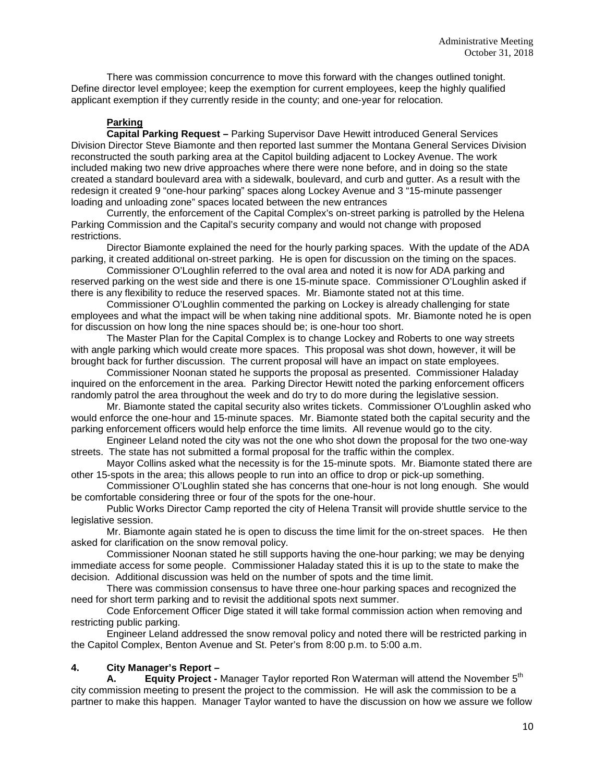There was commission concurrence to move this forward with the changes outlined tonight. Define director level employee; keep the exemption for current employees, keep the highly qualified applicant exemption if they currently reside in the county; and one-year for relocation.

# **Parking**

**Capital Parking Request –** Parking Supervisor Dave Hewitt introduced General Services Division Director Steve Biamonte and then reported last summer the Montana General Services Division reconstructed the south parking area at the Capitol building adjacent to Lockey Avenue. The work included making two new drive approaches where there were none before, and in doing so the state created a standard boulevard area with a sidewalk, boulevard, and curb and gutter. As a result with the redesign it created 9 "one-hour parking" spaces along Lockey Avenue and 3 "15-minute passenger loading and unloading zone" spaces located between the new entrances

Currently, the enforcement of the Capital Complex's on-street parking is patrolled by the Helena Parking Commission and the Capital's security company and would not change with proposed restrictions.

Director Biamonte explained the need for the hourly parking spaces. With the update of the ADA parking, it created additional on-street parking. He is open for discussion on the timing on the spaces.

Commissioner O'Loughlin referred to the oval area and noted it is now for ADA parking and reserved parking on the west side and there is one 15-minute space. Commissioner O'Loughlin asked if there is any flexibility to reduce the reserved spaces. Mr. Biamonte stated not at this time.

Commissioner O'Loughlin commented the parking on Lockey is already challenging for state employees and what the impact will be when taking nine additional spots. Mr. Biamonte noted he is open for discussion on how long the nine spaces should be; is one-hour too short.

The Master Plan for the Capital Complex is to change Lockey and Roberts to one way streets with angle parking which would create more spaces. This proposal was shot down, however, it will be brought back for further discussion. The current proposal will have an impact on state employees.

Commissioner Noonan stated he supports the proposal as presented. Commissioner Haladay inquired on the enforcement in the area. Parking Director Hewitt noted the parking enforcement officers randomly patrol the area throughout the week and do try to do more during the legislative session.

Mr. Biamonte stated the capital security also writes tickets. Commissioner O'Loughlin asked who would enforce the one-hour and 15-minute spaces. Mr. Biamonte stated both the capital security and the parking enforcement officers would help enforce the time limits. All revenue would go to the city.

Engineer Leland noted the city was not the one who shot down the proposal for the two one-way streets. The state has not submitted a formal proposal for the traffic within the complex.

Mayor Collins asked what the necessity is for the 15-minute spots. Mr. Biamonte stated there are other 15-spots in the area; this allows people to run into an office to drop or pick-up something.

Commissioner O'Loughlin stated she has concerns that one-hour is not long enough. She would be comfortable considering three or four of the spots for the one-hour.

Public Works Director Camp reported the city of Helena Transit will provide shuttle service to the legislative session.

Mr. Biamonte again stated he is open to discuss the time limit for the on-street spaces. He then asked for clarification on the snow removal policy.

Commissioner Noonan stated he still supports having the one-hour parking; we may be denying immediate access for some people. Commissioner Haladay stated this it is up to the state to make the decision. Additional discussion was held on the number of spots and the time limit.

There was commission consensus to have three one-hour parking spaces and recognized the need for short term parking and to revisit the additional spots next summer.

Code Enforcement Officer Dige stated it will take formal commission action when removing and restricting public parking.

Engineer Leland addressed the snow removal policy and noted there will be restricted parking in the Capitol Complex, Benton Avenue and St. Peter's from 8:00 p.m. to 5:00 a.m.

## **4. City Manager's Report –**

**A. Equity Project -** Manager Taylor reported Ron Waterman will attend the November 5<sup>th</sup> city commission meeting to present the project to the commission. He will ask the commission to be a partner to make this happen. Manager Taylor wanted to have the discussion on how we assure we follow